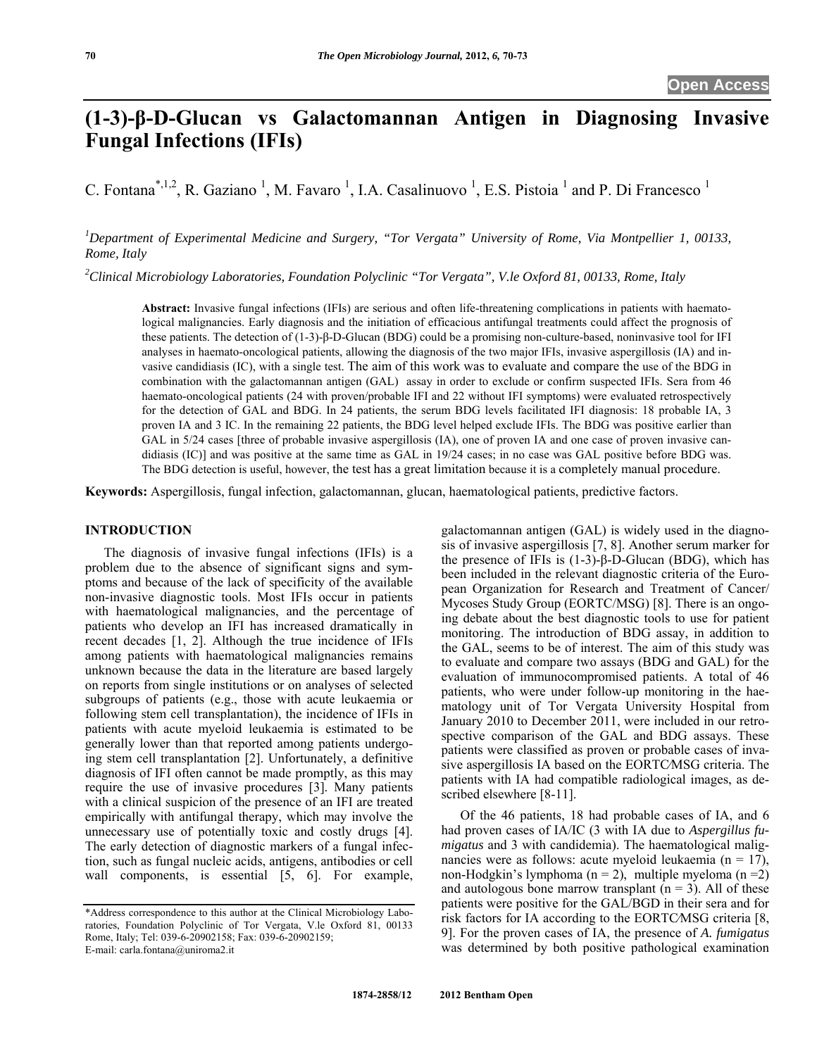# **(1-3)-β-D-Glucan vs Galactomannan Antigen in Diagnosing Invasive Fungal Infections (IFIs)**

C. Fontana<sup>\*,1,2</sup>, R. Gaziano<sup>1</sup>, M. Favaro<sup>1</sup>, I.A. Casalinuovo<sup>1</sup>, E.S. Pistoia<sup>1</sup> and P. Di Francesco<sup>1</sup>

*1 Department of Experimental Medicine and Surgery, "Tor Vergata" University of Rome, Via Montpellier 1, 00133, Rome, Italy* 

*2 Clinical Microbiology Laboratories, Foundation Polyclinic "Tor Vergata", V.le Oxford 81, 00133, Rome, Italy* 

**Abstract:** Invasive fungal infections (IFIs) are serious and often life-threatening complications in patients with haematological malignancies. Early diagnosis and the initiation of efficacious antifungal treatments could affect the prognosis of these patients. The detection of (1-3)-β-D-Glucan (BDG) could be a promising non-culture-based, noninvasive tool for IFI analyses in haemato-oncological patients, allowing the diagnosis of the two major IFIs, invasive aspergillosis (IA) and invasive candidiasis (IC), with a single test. The aim of this work was to evaluate and compare the use of the BDG in combination with the galactomannan antigen (GAL) assay in order to exclude or confirm suspected IFIs. Sera from 46 haemato-oncological patients (24 with proven/probable IFI and 22 without IFI symptoms) were evaluated retrospectively for the detection of GAL and BDG. In 24 patients, the serum BDG levels facilitated IFI diagnosis: 18 probable IA, 3 proven IA and 3 IC. In the remaining 22 patients, the BDG level helped exclude IFIs. The BDG was positive earlier than GAL in  $5/24$  cases [three of probable invasive aspergillosis (IA), one of proven IA and one case of proven invasive candidiasis (IC)] and was positive at the same time as GAL in 19/24 cases; in no case was GAL positive before BDG was. The BDG detection is useful, however, the test has a great limitation because it is a completely manual procedure.

**Keywords:** Aspergillosis, fungal infection, galactomannan, glucan, haematological patients, predictive factors.

#### **INTRODUCTION**

 The diagnosis of invasive fungal infections (IFIs) is a problem due to the absence of significant signs and symptoms and because of the lack of specificity of the available non-invasive diagnostic tools. Most IFIs occur in patients with haematological malignancies, and the percentage of patients who develop an IFI has increased dramatically in recent decades [1, 2]. Although the true incidence of IFIs among patients with haematological malignancies remains unknown because the data in the literature are based largely on reports from single institutions or on analyses of selected subgroups of patients (e.g., those with acute leukaemia or following stem cell transplantation), the incidence of IFIs in patients with acute myeloid leukaemia is estimated to be generally lower than that reported among patients undergoing stem cell transplantation [2]. Unfortunately, a definitive diagnosis of IFI often cannot be made promptly, as this may require the use of invasive procedures [3]. Many patients with a clinical suspicion of the presence of an IFI are treated empirically with antifungal therapy, which may involve the unnecessary use of potentially toxic and costly drugs [4]. The early detection of diagnostic markers of a fungal infection, such as fungal nucleic acids, antigens, antibodies or cell wall components, is essential [5, 6]. For example,

galactomannan antigen (GAL) is widely used in the diagnosis of invasive aspergillosis [7, 8]. Another serum marker for the presence of IFIs is (1-3)-β-D-Glucan (BDG), which has been included in the relevant diagnostic criteria of the European Organization for Research and Treatment of Cancer/ Mycoses Study Group (EORTC/MSG) [8]. There is an ongoing debate about the best diagnostic tools to use for patient monitoring. The introduction of BDG assay, in addition to the GAL, seems to be of interest. The aim of this study was to evaluate and compare two assays (BDG and GAL) for the evaluation of immunocompromised patients. A total of 46 patients, who were under follow-up monitoring in the haematology unit of Tor Vergata University Hospital from January 2010 to December 2011, were included in our retrospective comparison of the GAL and BDG assays. These patients were classified as proven or probable cases of invasive aspergillosis IA based on the EORTC⁄MSG criteria. The patients with IA had compatible radiological images, as described elsewhere [8-11].

 Of the 46 patients, 18 had probable cases of IA, and 6 had proven cases of IA/IC (3 with IA due to *Aspergillus fumigatus* and 3 with candidemia). The haematological malignancies were as follows: acute myeloid leukaemia (n = 17), non-Hodgkin's lymphoma (n = 2), multiple myeloma (n = 2) and autologous bone marrow transplant  $(n = 3)$ . All of these patients were positive for the GAL/BGD in their sera and for risk factors for IA according to the EORTC⁄MSG criteria [8, 9]. For the proven cases of IA, the presence of *A. fumigatus* was determined by both positive pathological examination

<sup>\*</sup>Address correspondence to this author at the Clinical Microbiology Laboratories, Foundation Polyclinic of Tor Vergata, V.le Oxford 81, 00133 Rome, Italy; Tel: 039-6-20902158; Fax: 039-6-20902159; E-mail: carla.fontana@uniroma2.it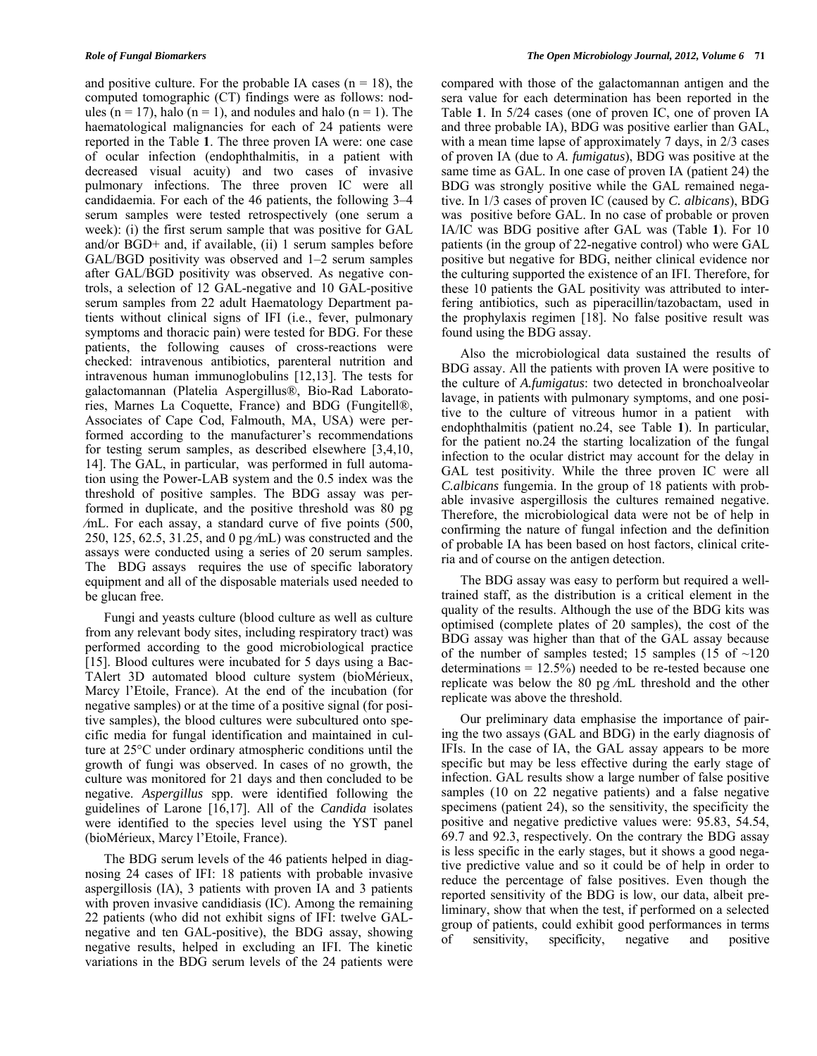and positive culture. For the probable IA cases  $(n = 18)$ , the computed tomographic (CT) findings were as follows: nodules (n = 17), halo (n = 1), and nodules and halo (n = 1). The haematological malignancies for each of 24 patients were reported in the Table **1**. The three proven IA were: one case of ocular infection (endophthalmitis, in a patient with decreased visual acuity) and two cases of invasive pulmonary infections. The three proven IC were all candidaemia. For each of the 46 patients, the following 3–4 serum samples were tested retrospectively (one serum a week): (i) the first serum sample that was positive for GAL and/or BGD+ and, if available, (ii) 1 serum samples before GAL/BGD positivity was observed and 1–2 serum samples after GAL/BGD positivity was observed. As negative controls, a selection of 12 GAL-negative and 10 GAL-positive serum samples from 22 adult Haematology Department patients without clinical signs of IFI (i.e., fever, pulmonary symptoms and thoracic pain) were tested for BDG. For these patients, the following causes of cross-reactions were checked: intravenous antibiotics, parenteral nutrition and intravenous human immunoglobulins [12,13]. The tests for galactomannan (Platelia Aspergillus®, Bio-Rad Laboratories, Marnes La Coquette, France) and BDG (Fungitell®, Associates of Cape Cod, Falmouth, MA, USA) were performed according to the manufacturer's recommendations for testing serum samples, as described elsewhere [3,4,10, 14]. The GAL, in particular, was performed in full automation using the Power-LAB system and the 0.5 index was the threshold of positive samples. The BDG assay was performed in duplicate, and the positive threshold was 80 pg ⁄mL. For each assay, a standard curve of five points (500, 250, 125, 62.5, 31.25, and 0 pg ⁄mL) was constructed and the assays were conducted using a series of 20 serum samples. The BDG assays requires the use of specific laboratory equipment and all of the disposable materials used needed to be glucan free.

 Fungi and yeasts culture (blood culture as well as culture from any relevant body sites, including respiratory tract) was performed according to the good microbiological practice [15]. Blood cultures were incubated for 5 days using a Bac-TAlert 3D automated blood culture system (bioMérieux, Marcy l'Etoile, France). At the end of the incubation (for negative samples) or at the time of a positive signal (for positive samples), the blood cultures were subcultured onto specific media for fungal identification and maintained in culture at 25°C under ordinary atmospheric conditions until the growth of fungi was observed. In cases of no growth, the culture was monitored for 21 days and then concluded to be negative. *Aspergillus* spp. were identified following the guidelines of Larone [16,17]. All of the *Candida* isolates were identified to the species level using the YST panel (bioMérieux, Marcy l'Etoile, France).

 The BDG serum levels of the 46 patients helped in diagnosing 24 cases of IFI: 18 patients with probable invasive aspergillosis (IA), 3 patients with proven IA and 3 patients with proven invasive candidiasis (IC). Among the remaining 22 patients (who did not exhibit signs of IFI: twelve GALnegative and ten GAL-positive), the BDG assay, showing negative results, helped in excluding an IFI. The kinetic variations in the BDG serum levels of the 24 patients were compared with those of the galactomannan antigen and the sera value for each determination has been reported in the Table **1**. In 5/24 cases (one of proven IC, one of proven IA and three probable IA), BDG was positive earlier than GAL, with a mean time lapse of approximately 7 days, in  $2/3$  cases of proven IA (due to *A. fumigatus*), BDG was positive at the same time as GAL. In one case of proven IA (patient 24) the BDG was strongly positive while the GAL remained negative. In 1/3 cases of proven IC (caused by *C. albicans*), BDG was positive before GAL. In no case of probable or proven IA/IC was BDG positive after GAL was (Table **1**). For 10 patients (in the group of 22-negative control) who were GAL positive but negative for BDG, neither clinical evidence nor the culturing supported the existence of an IFI. Therefore, for these 10 patients the GAL positivity was attributed to interfering antibiotics, such as piperacillin/tazobactam, used in the prophylaxis regimen [18]. No false positive result was found using the BDG assay.

 Also the microbiological data sustained the results of BDG assay. All the patients with proven IA were positive to the culture of *A.fumigatus*: two detected in bronchoalveolar lavage, in patients with pulmonary symptoms, and one positive to the culture of vitreous humor in a patient with endophthalmitis (patient no.24, see Table **1**). In particular, for the patient no.24 the starting localization of the fungal infection to the ocular district may account for the delay in GAL test positivity. While the three proven IC were all *C.albicans* fungemia. In the group of 18 patients with probable invasive aspergillosis the cultures remained negative. Therefore, the microbiological data were not be of help in confirming the nature of fungal infection and the definition of probable IA has been based on host factors, clinical criteria and of course on the antigen detection.

 The BDG assay was easy to perform but required a welltrained staff, as the distribution is a critical element in the quality of the results. Although the use of the BDG kits was optimised (complete plates of 20 samples), the cost of the BDG assay was higher than that of the GAL assay because of the number of samples tested; 15 samples (15 of  $\sim$ 120) determinations  $= 12.5\%$ ) needed to be re-tested because one replicate was below the 80 pg ⁄mL threshold and the other replicate was above the threshold.

 Our preliminary data emphasise the importance of pairing the two assays (GAL and BDG) in the early diagnosis of IFIs. In the case of IA, the GAL assay appears to be more specific but may be less effective during the early stage of infection. GAL results show a large number of false positive samples (10 on 22 negative patients) and a false negative specimens (patient 24), so the sensitivity, the specificity the positive and negative predictive values were: 95.83, 54.54, 69.7 and 92.3, respectively. On the contrary the BDG assay is less specific in the early stages, but it shows a good negative predictive value and so it could be of help in order to reduce the percentage of false positives. Even though the reported sensitivity of the BDG is low, our data, albeit preliminary, show that when the test, if performed on a selected group of patients, could exhibit good performances in terms of sensitivity, specificity, negative and positive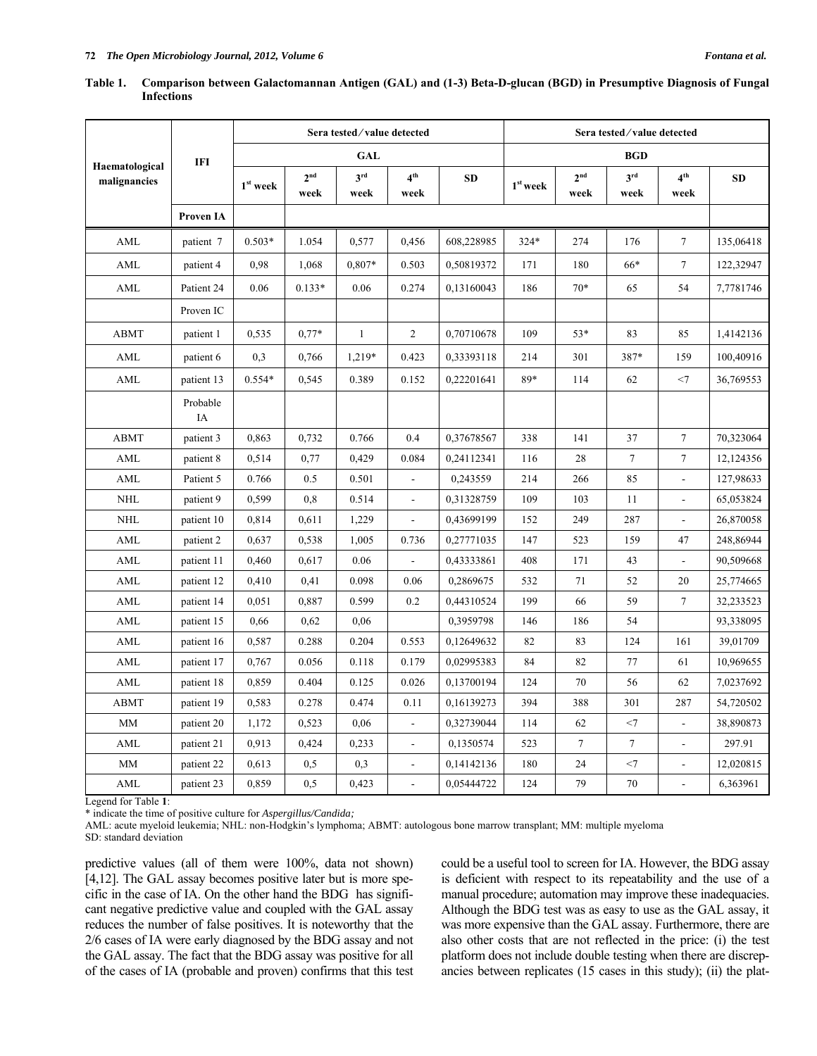**Table 1. Comparison between Galactomannan Antigen (GAL) and (1-3) Beta-D-glucan (BGD) in Presumptive Diagnosis of Fungal Infections** 

| Haematological<br>malignancies | <b>IFI</b>     | Sera tested/value detected |                         |                         |                          |            | Sera tested/value detected |                         |                         |                          |           |
|--------------------------------|----------------|----------------------------|-------------------------|-------------------------|--------------------------|------------|----------------------------|-------------------------|-------------------------|--------------------------|-----------|
|                                |                | <b>GAL</b>                 |                         |                         |                          |            | <b>BGD</b>                 |                         |                         |                          |           |
|                                |                | $1st$ week                 | 2 <sup>nd</sup><br>week | 3 <sup>rd</sup><br>week | 4 <sup>th</sup><br>week  | <b>SD</b>  | $1st$ week                 | 2 <sup>nd</sup><br>week | 3 <sup>rd</sup><br>week | 4 <sup>th</sup><br>week  | <b>SD</b> |
|                                | Proven IA      |                            |                         |                         |                          |            |                            |                         |                         |                          |           |
| AML                            | patient 7      | $0.503*$                   | 1.054                   | 0,577                   | 0,456                    | 608,228985 | 324*                       | 274                     | 176                     | $\tau$                   | 135,06418 |
| AML                            | patient 4      | 0,98                       | 1,068                   | 0,807*                  | 0.503                    | 0,50819372 | 171                        | 180                     | 66*                     | $\tau$                   | 122,32947 |
| AML                            | Patient 24     | 0.06                       | $0.133*$                | 0.06                    | 0.274                    | 0,13160043 | 186                        | $70*$                   | 65                      | 54                       | 7,7781746 |
|                                | Proven IC      |                            |                         |                         |                          |            |                            |                         |                         |                          |           |
| <b>ABMT</b>                    | patient 1      | 0,535                      | $0,77*$                 | $\mathbf{1}$            | 2                        | 0,70710678 | 109                        | $53*$                   | 83                      | 85                       | 1,4142136 |
| AML                            | patient 6      | 0,3                        | 0,766                   | 1,219*                  | 0.423                    | 0,33393118 | 214                        | 301                     | 387*                    | 159                      | 100,40916 |
| AML                            | patient 13     | $0.554*$                   | 0,545                   | 0.389                   | 0.152                    | 0,22201641 | 89*                        | 114                     | 62                      | $<$ 7                    | 36,769553 |
|                                | Probable<br>IA |                            |                         |                         |                          |            |                            |                         |                         |                          |           |
| ABMT                           | patient 3      | 0,863                      | 0,732                   | 0.766                   | 0.4                      | 0,37678567 | 338                        | 141                     | 37                      | $\tau$                   | 70,323064 |
| AML                            | patient 8      | 0,514                      | 0,77                    | 0,429                   | 0.084                    | 0,24112341 | 116                        | 28                      | $\tau$                  | $\boldsymbol{7}$         | 12,124356 |
| AML                            | Patient 5      | 0.766                      | 0.5                     | 0.501                   | $\overline{a}$           | 0,243559   | 214                        | 266                     | 85                      | $\overline{a}$           | 127,98633 |
| <b>NHL</b>                     | patient 9      | 0,599                      | 0,8                     | 0.514                   |                          | 0.31328759 | 109                        | 103                     | 11                      | $\overline{a}$           | 65,053824 |
| <b>NHL</b>                     | patient 10     | 0,814                      | 0,611                   | 1,229                   |                          | 0,43699199 | 152                        | 249                     | 287                     |                          | 26,870058 |
| AML                            | patient 2      | 0,637                      | 0,538                   | 1,005                   | 0.736                    | 0,27771035 | 147                        | 523                     | 159                     | 47                       | 248,86944 |
| AML                            | patient 11     | 0,460                      | 0,617                   | 0.06                    | $\overline{a}$           | 0,43333861 | 408                        | 171                     | 43                      | $\frac{1}{2}$            | 90,509668 |
| AML                            | patient 12     | 0,410                      | 0,41                    | 0.098                   | 0.06                     | 0,2869675  | 532                        | 71                      | 52                      | 20                       | 25,774665 |
| AML                            | patient 14     | 0,051                      | 0,887                   | 0.599                   | 0.2                      | 0,44310524 | 199                        | 66                      | 59                      | $\tau$                   | 32,233523 |
| AML                            | patient 15     | 0,66                       | 0,62                    | 0,06                    |                          | 0,3959798  | 146                        | 186                     | 54                      |                          | 93,338095 |
| AML                            | patient 16     | 0,587                      | 0.288                   | 0.204                   | 0.553                    | 0,12649632 | 82                         | 83                      | 124                     | 161                      | 39,01709  |
| AML                            | patient 17     | 0,767                      | 0.056                   | 0.118                   | 0.179                    | 0,02995383 | 84                         | 82                      | 77                      | 61                       | 10,969655 |
| AML                            | patient 18     | 0,859                      | 0.404                   | 0.125                   | 0.026                    | 0,13700194 | 124                        | 70                      | 56                      | 62                       | 7,0237692 |
| <b>ABMT</b>                    | patient 19     | 0,583                      | 0.278                   | 0.474                   | 0.11                     | 0,16139273 | 394                        | 388                     | 301                     | 287                      | 54,720502 |
| <b>MM</b>                      | patient 20     | 1,172                      | 0,523                   | 0,06                    | $\overline{\phantom{a}}$ | 0,32739044 | 114                        | 62                      | $<$ 7 $\,$              | $\overline{\phantom{a}}$ | 38,890873 |
| AML                            | patient 21     | 0,913                      | 0,424                   | 0,233                   | $\frac{1}{2}$            | 0,1350574  | 523                        | $\tau$                  | $\tau$                  | $\overline{a}$           | 297.91    |
| <b>MM</b>                      | patient 22     | 0,613                      | 0,5                     | 0,3                     | $\overline{a}$           | 0,14142136 | 180                        | 24                      | $<$ 7                   | $\overline{a}$           | 12,020815 |
| AML<br>$1.0 - 1.1 - 1.$        | patient 23     | 0,859                      | 0, 5                    | 0,423                   | $\overline{a}$           | 0,05444722 | 124                        | 79                      | 70                      | $\overline{a}$           | 6,363961  |

Legend for Table **1**:

\* indicate the time of positive culture for *Aspergillus/Candida;*

AML: acute myeloid leukemia; NHL: non-Hodgkin's lymphoma; ABMT: autologous bone marrow transplant; MM: multiple myeloma

SD: standard deviation

predictive values (all of them were 100%, data not shown) [4,12]. The GAL assay becomes positive later but is more specific in the case of IA. On the other hand the BDG has significant negative predictive value and coupled with the GAL assay reduces the number of false positives. It is noteworthy that the 2/6 cases of IA were early diagnosed by the BDG assay and not the GAL assay. The fact that the BDG assay was positive for all of the cases of IA (probable and proven) confirms that this test could be a useful tool to screen for IA. However, the BDG assay is deficient with respect to its repeatability and the use of a manual procedure; automation may improve these inadequacies. Although the BDG test was as easy to use as the GAL assay, it was more expensive than the GAL assay. Furthermore, there are also other costs that are not reflected in the price: (i) the test platform does not include double testing when there are discrepancies between replicates (15 cases in this study); (ii) the plat-